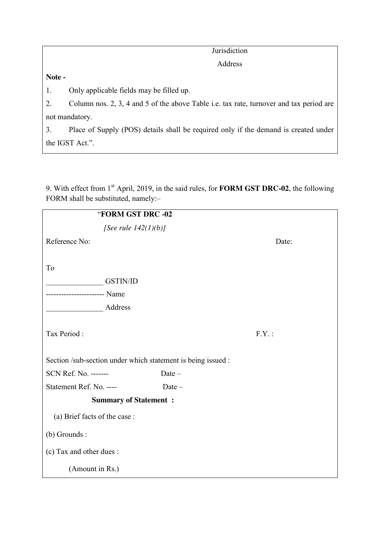| "FORM GST DRC -02                                            |          |          |  |  |  |  |  |  |
|--------------------------------------------------------------|----------|----------|--|--|--|--|--|--|
| [See rule $142(1)(b)$ ]                                      |          |          |  |  |  |  |  |  |
| Reference No:                                                |          | Date:    |  |  |  |  |  |  |
|                                                              |          |          |  |  |  |  |  |  |
| To                                                           |          |          |  |  |  |  |  |  |
| <b>GSTIN/ID</b>                                              |          |          |  |  |  |  |  |  |
| ------------------- Name                                     |          |          |  |  |  |  |  |  |
| Address                                                      |          |          |  |  |  |  |  |  |
|                                                              |          |          |  |  |  |  |  |  |
| Tax Period:                                                  |          | $F.Y.$ : |  |  |  |  |  |  |
|                                                              |          |          |  |  |  |  |  |  |
| Section /sub-section under which statement is being issued : |          |          |  |  |  |  |  |  |
| SCN Ref. No. -------                                         | Date-    |          |  |  |  |  |  |  |
| Statement Ref. No. ----                                      | $Date -$ |          |  |  |  |  |  |  |
| <b>Summary of Statement:</b>                                 |          |          |  |  |  |  |  |  |
| (a) Brief facts of the case:                                 |          |          |  |  |  |  |  |  |
| $(b)$ Grounds :                                              |          |          |  |  |  |  |  |  |
| (c) Tax and other dues :                                     |          |          |  |  |  |  |  |  |
| (Amount in Rs.)                                              |          |          |  |  |  |  |  |  |